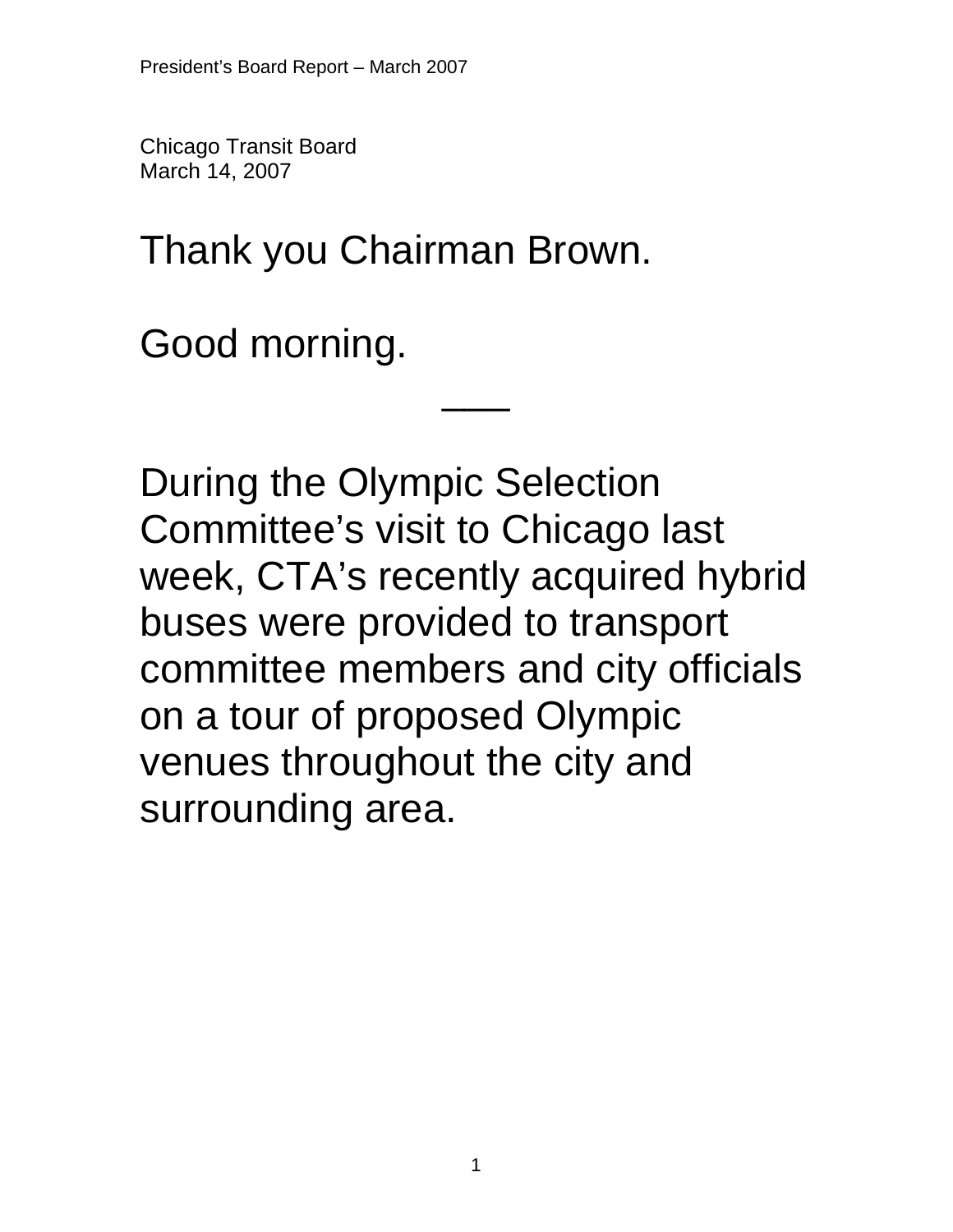Chicago Transit Board March 14, 2007

Thank you Chairman Brown.

Good morning.

During the Olympic Selection Committee's visit to Chicago last week, CTA's recently acquired hybrid buses were provided to transport committee members and city officials on a tour of proposed Olympic venues throughout the city and surrounding area.

 $\overline{\phantom{a}}$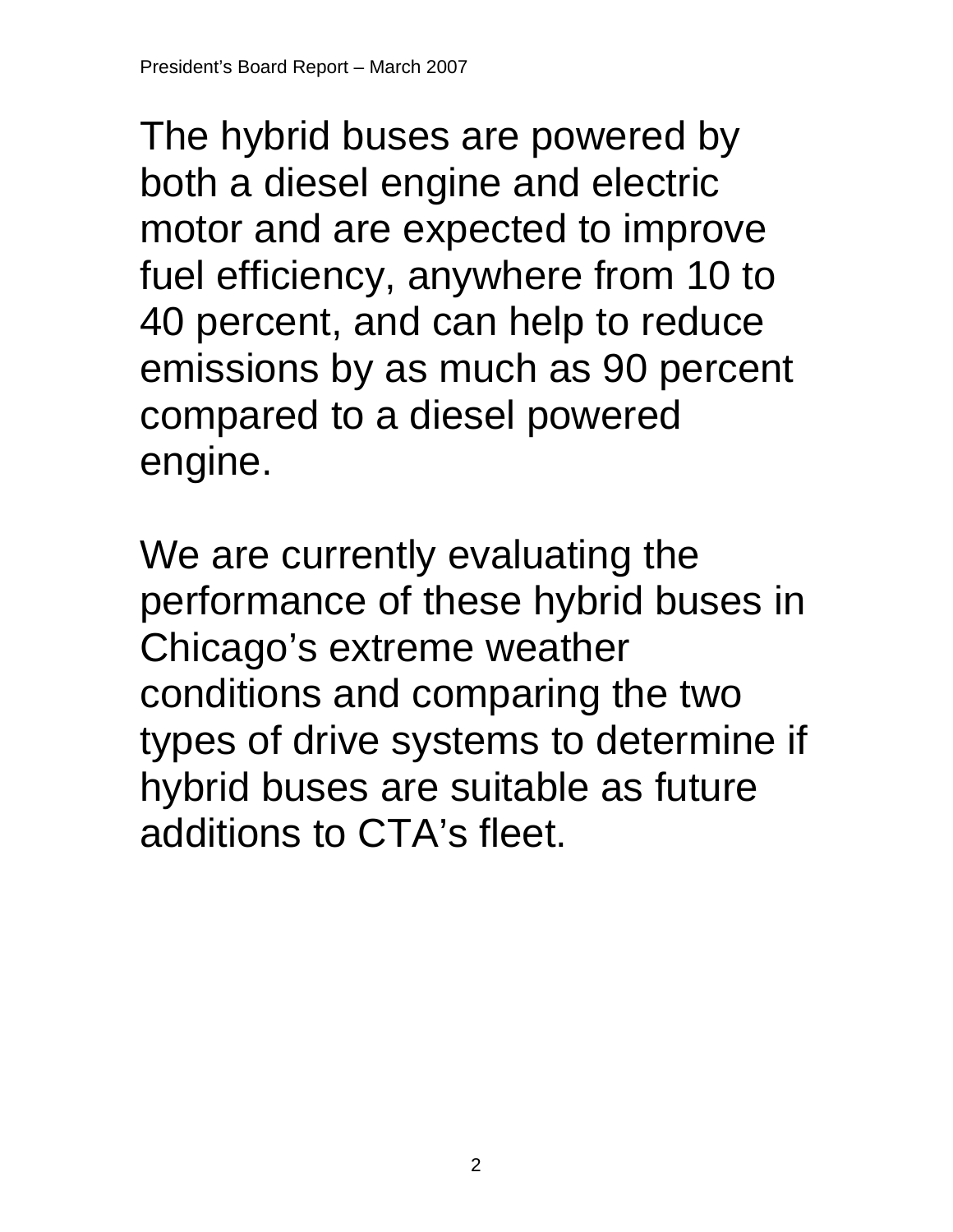The hybrid buses are powered by both a diesel engine and electric motor and are expected to improve fuel efficiency, anywhere from 10 to 40 percent, and can help to reduce emissions by as much as 90 percent compared to a diesel powered engine.

We are currently evaluating the performance of these hybrid buses in Chicago's extreme weather conditions and comparing the two types of drive systems to determine if hybrid buses are suitable as future additions to CTA's fleet.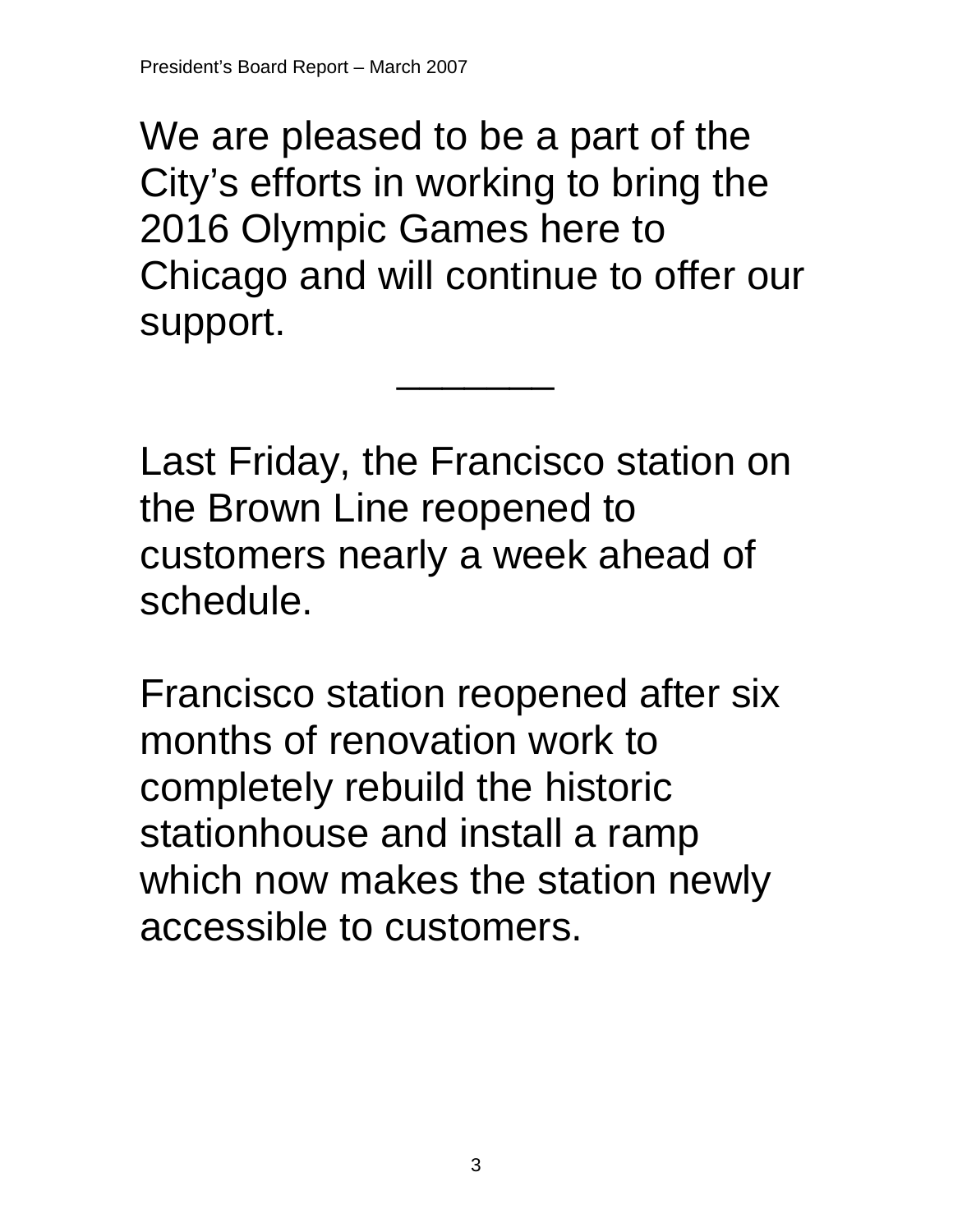We are pleased to be a part of the City's efforts in working to bring the 2016 Olympic Games here to Chicago and will continue to offer our support.

\_\_\_\_\_\_\_

Last Friday, the Francisco station on the Brown Line reopened to customers nearly a week ahead of schedule.

Francisco station reopened after six months of renovation work to completely rebuild the historic stationhouse and install a ramp which now makes the station newly accessible to customers.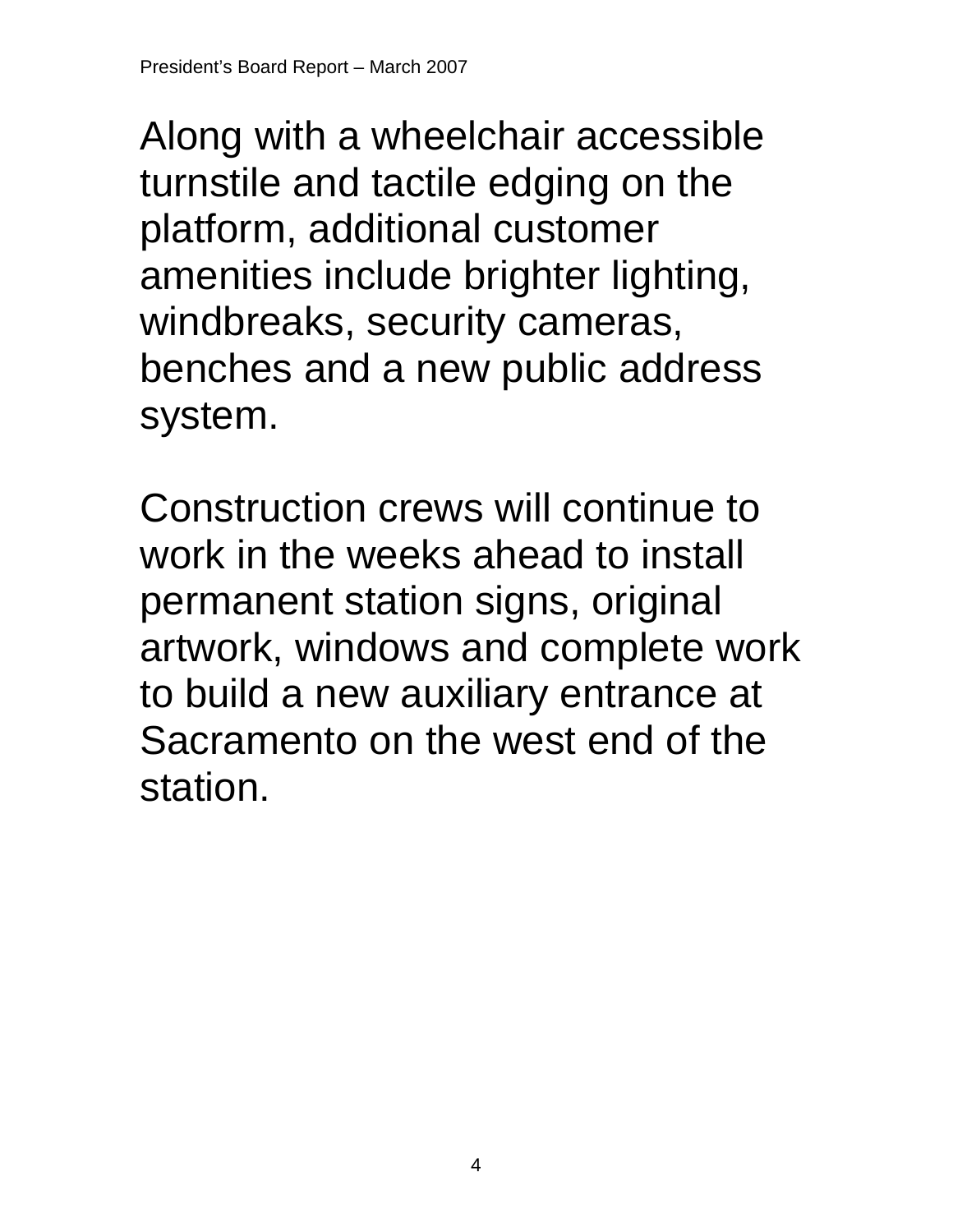Along with a wheelchair accessible turnstile and tactile edging on the platform, additional customer amenities include brighter lighting, windbreaks, security cameras, benches and a new public address system.

Construction crews will continue to work in the weeks ahead to install permanent station signs, original artwork, windows and complete work to build a new auxiliary entrance at Sacramento on the west end of the station.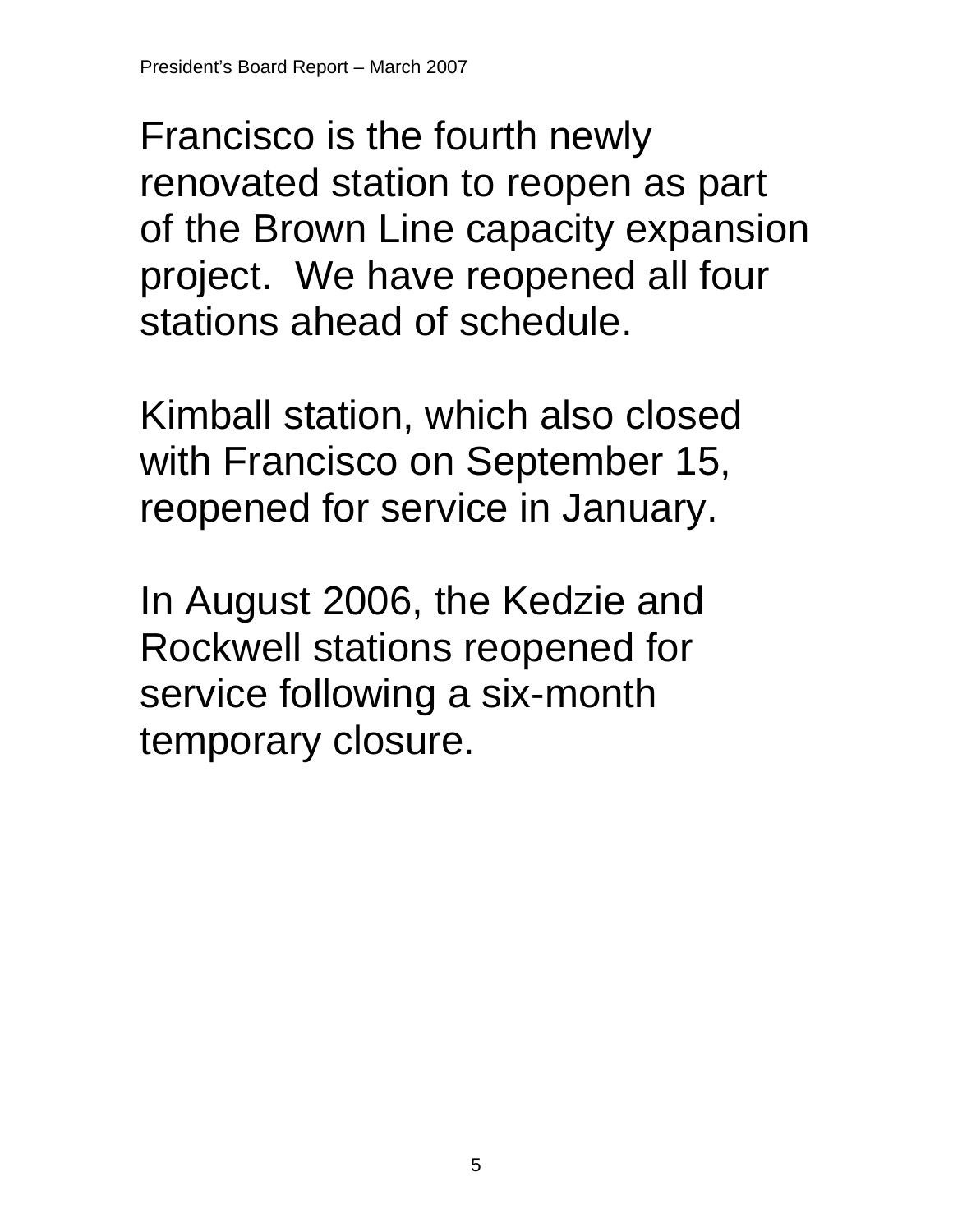Francisco is the fourth newly renovated station to reopen as part of the Brown Line capacity expansion project. We have reopened all four stations ahead of schedule.

Kimball station, which also closed with Francisco on September 15, reopened for service in January.

In August 2006, the Kedzie and Rockwell stations reopened for service following a six-month temporary closure.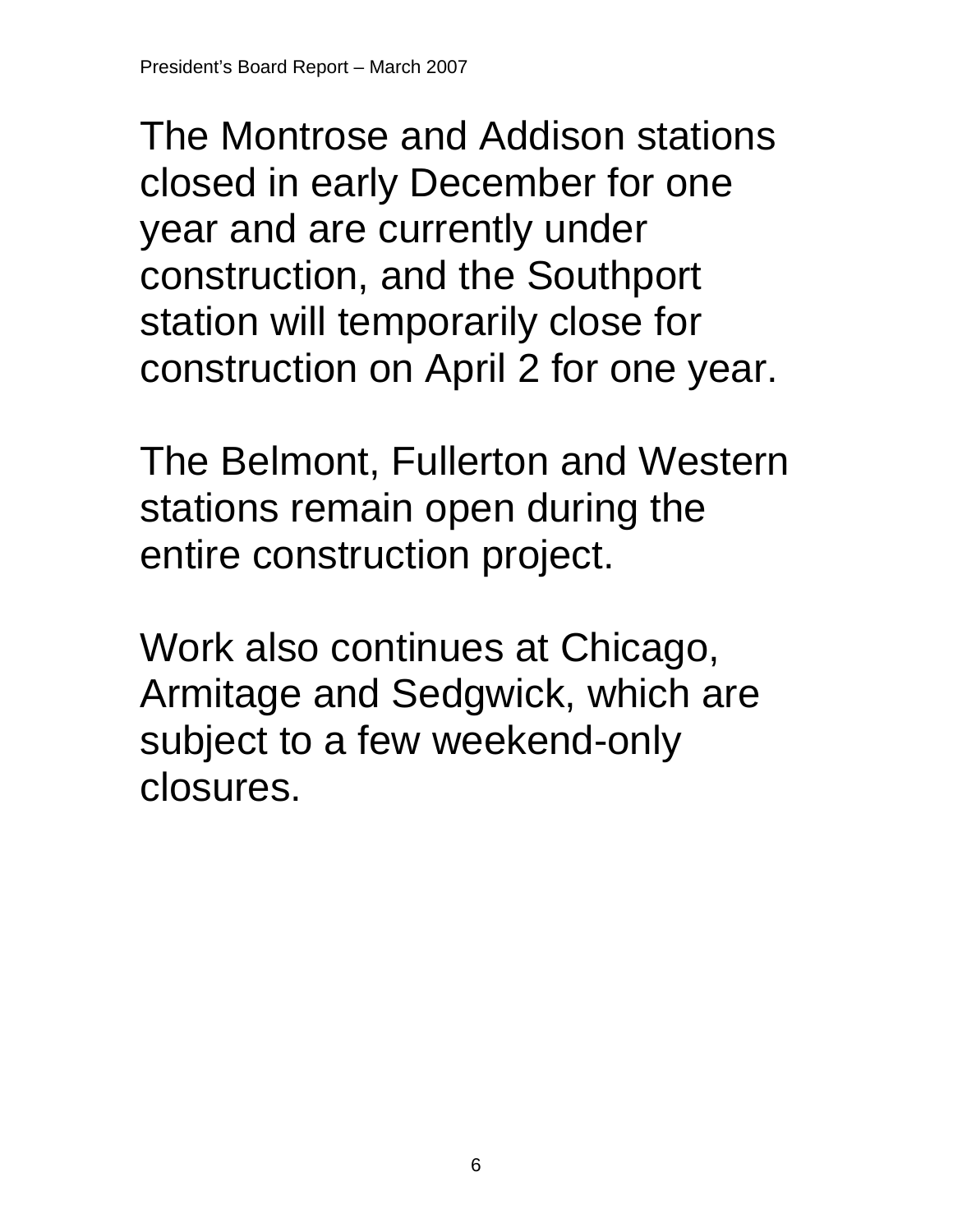The Montrose and Addison stations closed in early December for one year and are currently under construction, and the Southport station will temporarily close for construction on April 2 for one year.

The Belmont, Fullerton and Western stations remain open during the entire construction project.

Work also continues at Chicago, Armitage and Sedgwick, which are subject to a few weekend-only closures.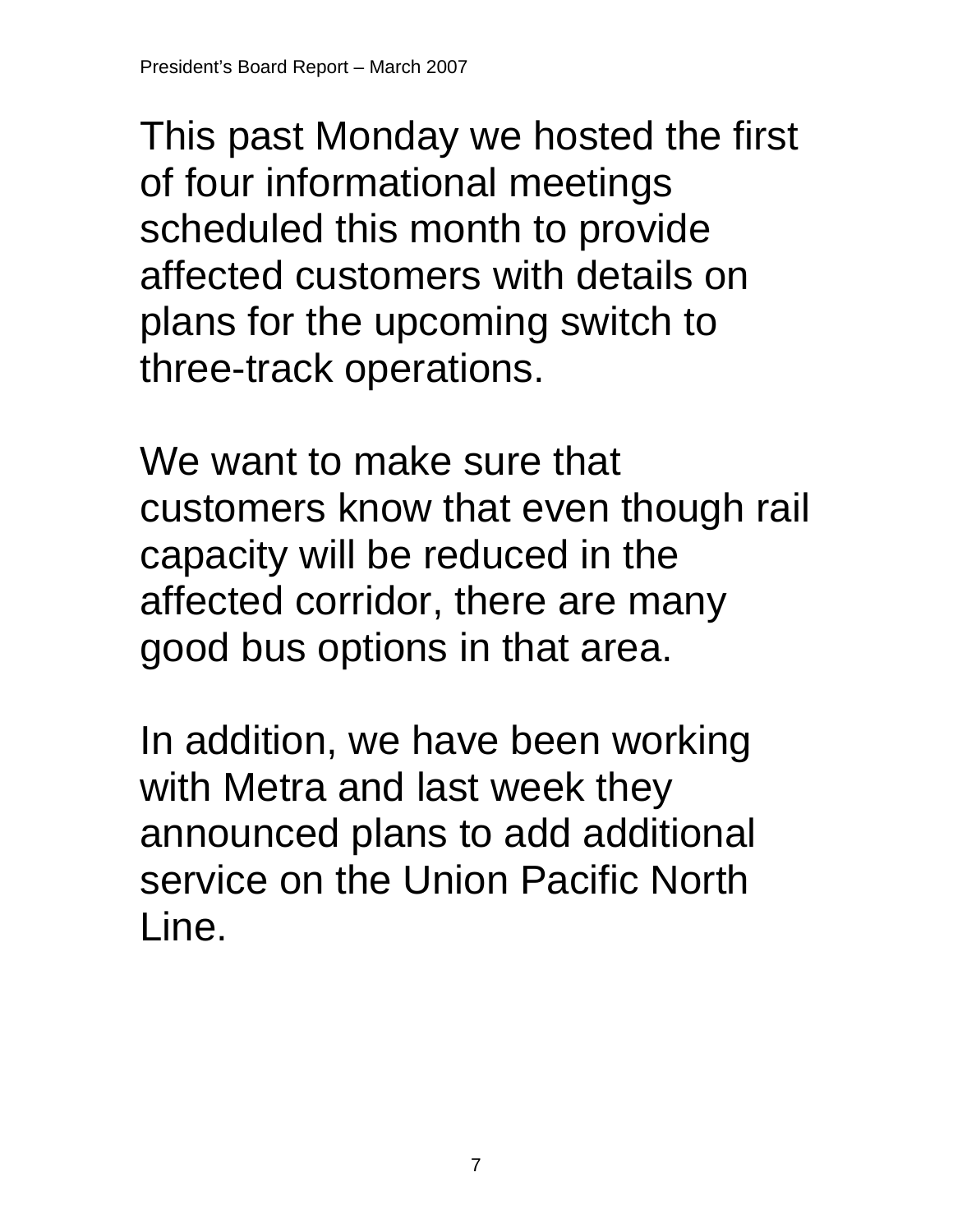This past Monday we hosted the first of four informational meetings scheduled this month to provide affected customers with details on plans for the upcoming switch to three-track operations.

We want to make sure that customers know that even though rail capacity will be reduced in the affected corridor, there are many good bus options in that area.

In addition, we have been working with Metra and last week they announced plans to add additional service on the Union Pacific North Line.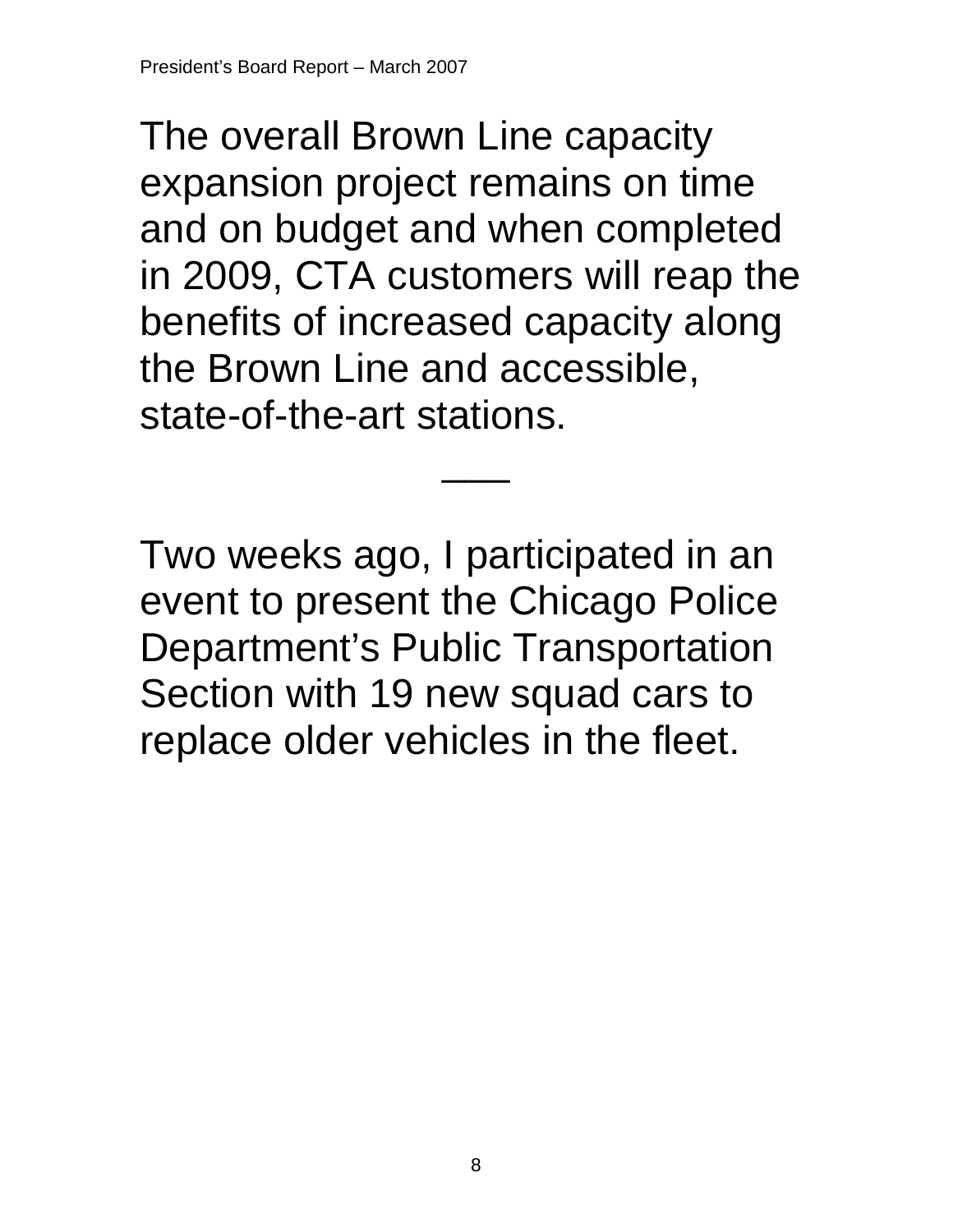The overall Brown Line capacity expansion project remains on time and on budget and when completed in 2009, CTA customers will reap the benefits of increased capacity along the Brown Line and accessible, state-of-the-art stations.

 $\overline{\phantom{a}}$ 

Two weeks ago, I participated in an event to present the Chicago Police Department's Public Transportation Section with 19 new squad cars to replace older vehicles in the fleet.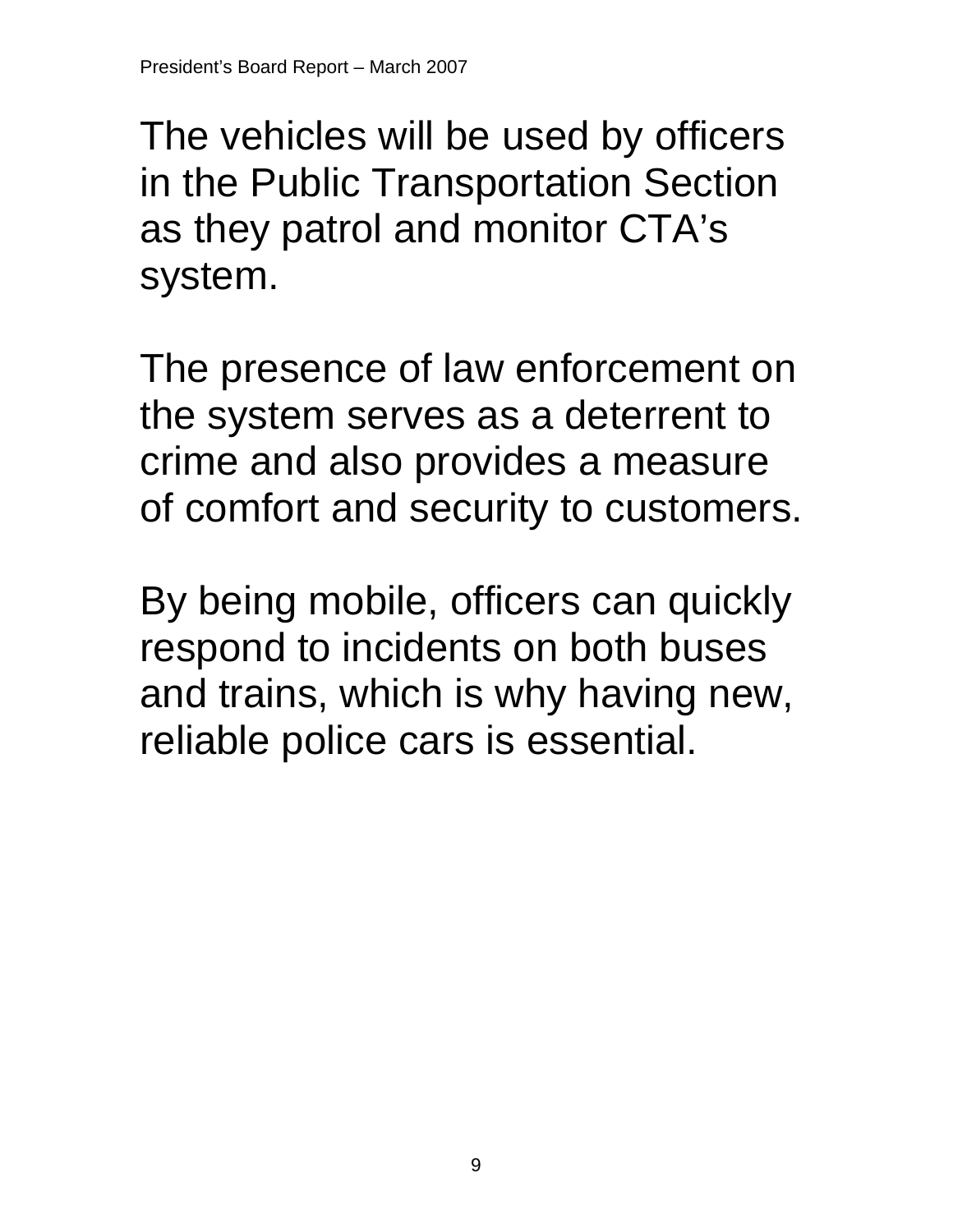The vehicles will be used by officers in the Public Transportation Section as they patrol and monitor CTA's system.

The presence of law enforcement on the system serves as a deterrent to crime and also provides a measure of comfort and security to customers.

By being mobile, officers can quickly respond to incidents on both buses and trains, which is why having new, reliable police cars is essential.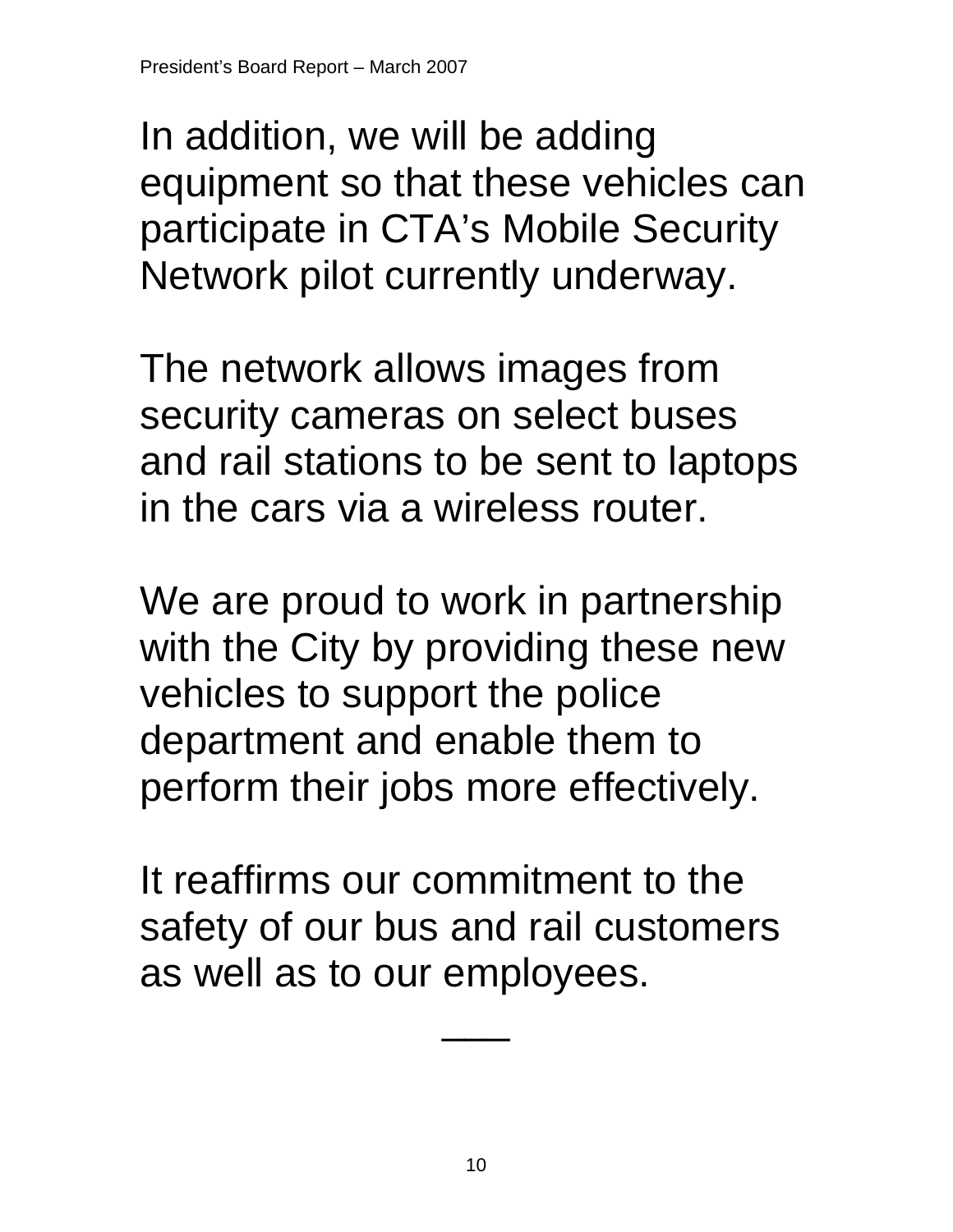In addition, we will be adding equipment so that these vehicles can participate in CTA's Mobile Security Network pilot currently underway.

The network allows images from security cameras on select buses and rail stations to be sent to laptops in the cars via a wireless router.

We are proud to work in partnership with the City by providing these new vehicles to support the police department and enable them to perform their jobs more effectively.

It reaffirms our commitment to the safety of our bus and rail customers as well as to our employees.

 $\overline{\phantom{a}}$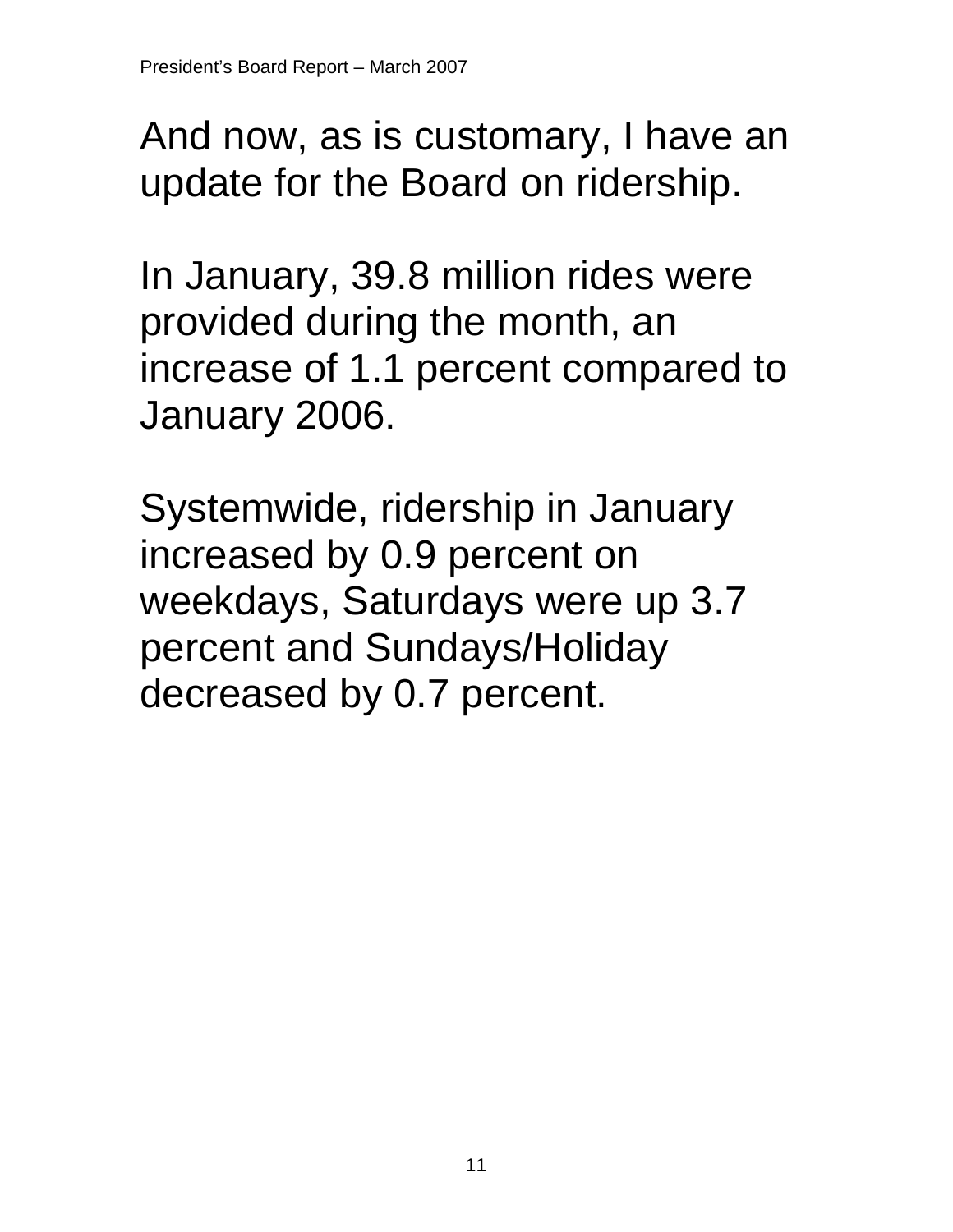And now, as is customary, I have an update for the Board on ridership.

In January, 39.8 million rides were provided during the month, an increase of 1.1 percent compared to January 2006.

Systemwide, ridership in January increased by 0.9 percent on weekdays, Saturdays were up 3.7 percent and Sundays/Holiday decreased by 0.7 percent.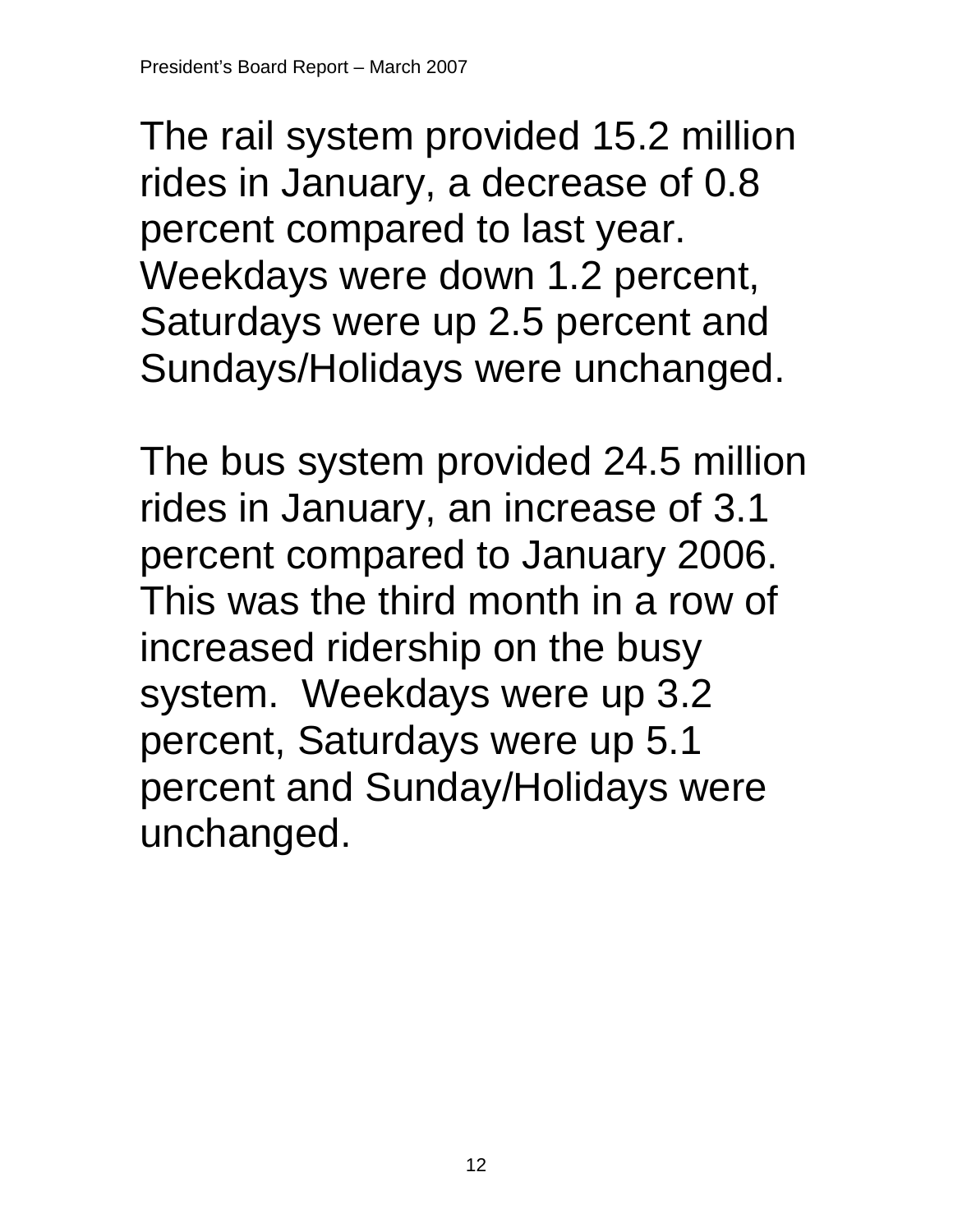The rail system provided 15.2 million rides in January, a decrease of 0.8 percent compared to last year. Weekdays were down 1.2 percent, Saturdays were up 2.5 percent and Sundays/Holidays were unchanged.

The bus system provided 24.5 million rides in January, an increase of 3.1 percent compared to January 2006. This was the third month in a row of increased ridership on the busy system. Weekdays were up 3.2 percent, Saturdays were up 5.1 percent and Sunday/Holidays were unchanged.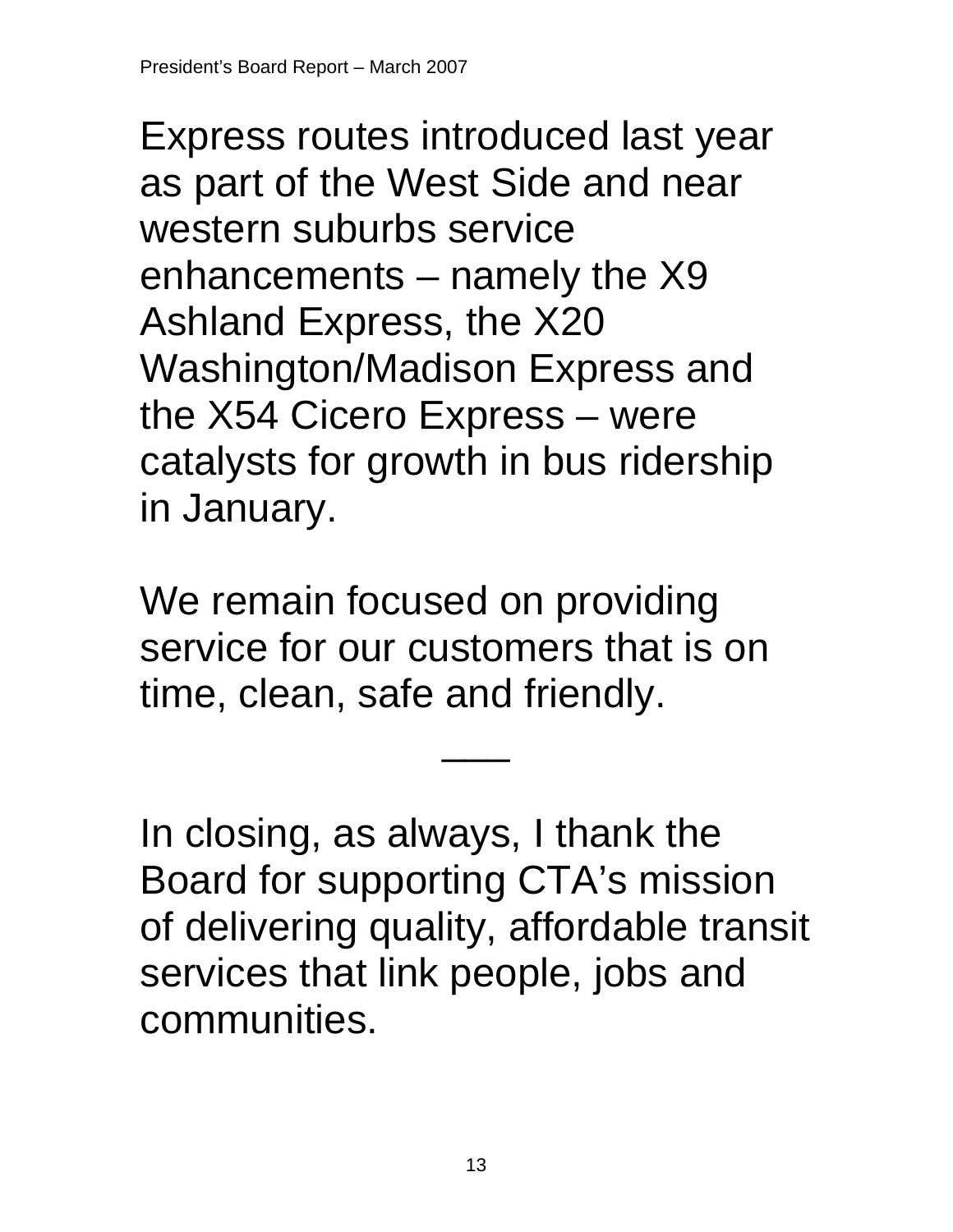Express routes introduced last year as part of the West Side and near western suburbs service enhancements – namely the X9 Ashland Express, the X20 Washington/Madison Express and the X54 Cicero Express – were catalysts for growth in bus ridership in January.

We remain focused on providing service for our customers that is on time, clean, safe and friendly.

In closing, as always, I thank the Board for supporting CTA's mission of delivering quality, affordable transit services that link people, jobs and communities.

 $\overline{\phantom{a}}$